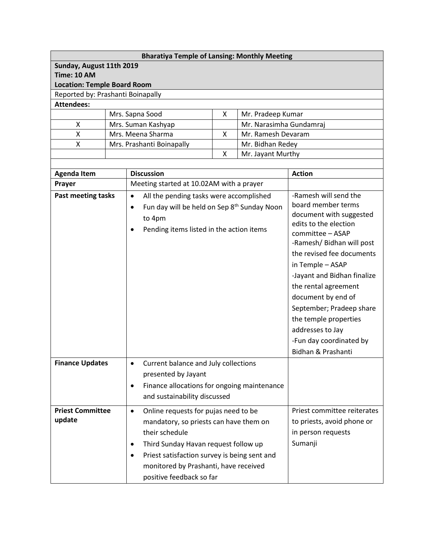| <b>Bharatiya Temple of Lansing: Monthly Meeting</b> |                        |                                                                      |                                      |                         |                                               |  |  |  |
|-----------------------------------------------------|------------------------|----------------------------------------------------------------------|--------------------------------------|-------------------------|-----------------------------------------------|--|--|--|
| Sunday, August 11th 2019                            |                        |                                                                      |                                      |                         |                                               |  |  |  |
| <b>Time: 10 AM</b>                                  |                        |                                                                      |                                      |                         |                                               |  |  |  |
| <b>Location: Temple Board Room</b>                  |                        |                                                                      |                                      |                         |                                               |  |  |  |
| Reported by: Prashanti Boinapally                   |                        |                                                                      |                                      |                         |                                               |  |  |  |
| <b>Attendees:</b>                                   |                        |                                                                      |                                      |                         |                                               |  |  |  |
| Mrs. Sapna Sood                                     |                        | X                                                                    | Mr. Pradeep Kumar                    |                         |                                               |  |  |  |
| X                                                   | Mrs. Suman Kashyap     |                                                                      |                                      | Mr. Narasimha Gundamraj |                                               |  |  |  |
|                                                     | Mrs. Meena Sharma<br>Χ |                                                                      | X                                    | Mr. Ramesh Devaram      |                                               |  |  |  |
| Χ                                                   |                        | Mrs. Prashanti Boinapally                                            | Mr. Bidhan Redey                     |                         |                                               |  |  |  |
|                                                     |                        |                                                                      | X                                    | Mr. Jayant Murthy       |                                               |  |  |  |
|                                                     |                        |                                                                      |                                      |                         |                                               |  |  |  |
| <b>Agenda Item</b>                                  |                        | <b>Discussion</b>                                                    |                                      |                         | <b>Action</b>                                 |  |  |  |
| Prayer                                              |                        | Meeting started at 10.02AM with a prayer                             |                                      |                         |                                               |  |  |  |
| Past meeting tasks                                  |                        | All the pending tasks were accomplished<br>$\bullet$                 |                                      |                         | -Ramesh will send the                         |  |  |  |
|                                                     |                        | Fun day will be held on Sep 8 <sup>th</sup> Sunday Noon<br>$\bullet$ |                                      |                         | board member terms                            |  |  |  |
|                                                     |                        | to 4pm                                                               |                                      |                         | document with suggested                       |  |  |  |
|                                                     |                        | Pending items listed in the action items<br>$\bullet$                |                                      |                         | edits to the election                         |  |  |  |
|                                                     |                        |                                                                      |                                      |                         | committee - ASAP<br>-Ramesh/ Bidhan will post |  |  |  |
|                                                     |                        |                                                                      |                                      |                         |                                               |  |  |  |
|                                                     |                        |                                                                      |                                      |                         | the revised fee documents                     |  |  |  |
|                                                     |                        |                                                                      |                                      |                         | in Temple - ASAP                              |  |  |  |
|                                                     |                        |                                                                      |                                      |                         | -Jayant and Bidhan finalize                   |  |  |  |
|                                                     |                        |                                                                      |                                      |                         | the rental agreement                          |  |  |  |
|                                                     |                        |                                                                      |                                      |                         | document by end of                            |  |  |  |
|                                                     |                        |                                                                      |                                      |                         | September; Pradeep share                      |  |  |  |
|                                                     |                        |                                                                      |                                      |                         | the temple properties                         |  |  |  |
|                                                     |                        |                                                                      |                                      |                         | addresses to Jay                              |  |  |  |
|                                                     |                        |                                                                      |                                      |                         | -Fun day coordinated by                       |  |  |  |
|                                                     |                        |                                                                      |                                      |                         | Bidhan & Prashanti                            |  |  |  |
| <b>Finance Updates</b>                              |                        |                                                                      |                                      |                         |                                               |  |  |  |
|                                                     |                        | Current balance and July collections                                 |                                      |                         |                                               |  |  |  |
|                                                     |                        | presented by Jayant                                                  |                                      |                         |                                               |  |  |  |
|                                                     |                        | Finance allocations for ongoing maintenance<br>$\bullet$             |                                      |                         |                                               |  |  |  |
|                                                     |                        | and sustainability discussed                                         |                                      |                         |                                               |  |  |  |
| <b>Priest Committee</b><br>$\bullet$                |                        |                                                                      | Online requests for pujas need to be |                         | Priest committee reiterates                   |  |  |  |
| update                                              |                        | mandatory, so priests can have them on                               |                                      |                         | to priests, avoid phone or                    |  |  |  |
|                                                     |                        | their schedule                                                       |                                      |                         | in person requests                            |  |  |  |
|                                                     |                        | Third Sunday Havan request follow up<br>$\bullet$                    |                                      |                         | Sumanji                                       |  |  |  |
|                                                     |                        | Priest satisfaction survey is being sent and<br>$\bullet$            |                                      |                         |                                               |  |  |  |
|                                                     |                        |                                                                      |                                      |                         |                                               |  |  |  |
|                                                     |                        | monitored by Prashanti, have received                                |                                      |                         |                                               |  |  |  |
|                                                     |                        | positive feedback so far                                             |                                      |                         |                                               |  |  |  |